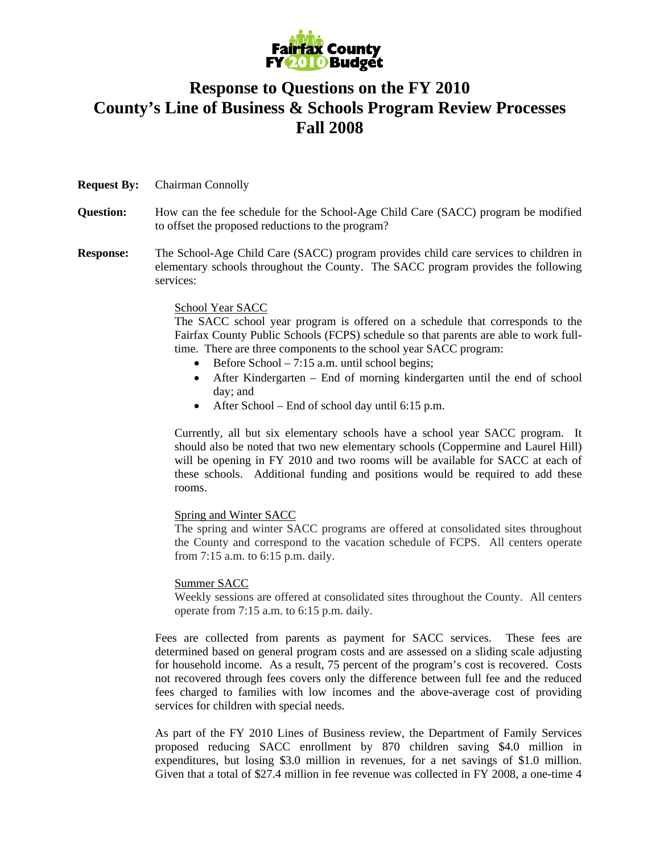

## **Response to Questions on the FY 2010 County's Line of Business & Schools Program Review Processes Fall 2008**

- **Request By:** Chairman Connolly
- **Question:** How can the fee schedule for the School-Age Child Care (SACC) program be modified to offset the proposed reductions to the program?
- **Response:** The School-Age Child Care (SACC) program provides child care services to children in elementary schools throughout the County. The SACC program provides the following services:

## School Year SACC

The SACC school year program is offered on a schedule that corresponds to the Fairfax County Public Schools (FCPS) schedule so that parents are able to work fulltime. There are three components to the school year SACC program:

- Before School 7:15 a.m. until school begins;
- After Kindergarten End of morning kindergarten until the end of school day; and
- After School End of school day until 6:15 p.m.

Currently, all but six elementary schools have a school year SACC program. It should also be noted that two new elementary schools (Coppermine and Laurel Hill) will be opening in FY 2010 and two rooms will be available for SACC at each of these schools. Additional funding and positions would be required to add these rooms.

## Spring and Winter SACC

The spring and winter SACC programs are offered at consolidated sites throughout the County and correspond to the vacation schedule of FCPS. All centers operate from 7:15 a.m. to 6:15 p.m. daily.

## Summer SACC

Weekly sessions are offered at consolidated sites throughout the County. All centers operate from 7:15 a.m. to 6:15 p.m. daily.

Fees are collected from parents as payment for SACC services. These fees are determined based on general program costs and are assessed on a sliding scale adjusting for household income. As a result, 75 percent of the program's cost is recovered. Costs not recovered through fees covers only the difference between full fee and the reduced fees charged to families with low incomes and the above-average cost of providing services for children with special needs.

As part of the FY 2010 Lines of Business review, the Department of Family Services proposed reducing SACC enrollment by 870 children saving \$4.0 million in expenditures, but losing \$3.0 million in revenues, for a net savings of \$1.0 million. Given that a total of \$27.4 million in fee revenue was collected in FY 2008, a one-time 4